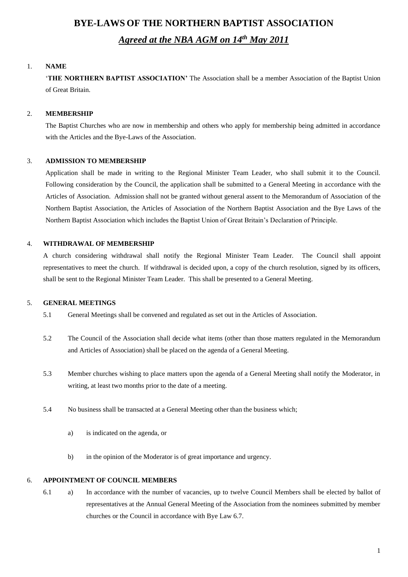# **BYE-LAWS OF THE NORTHERN BAPTIST ASSOCIATION** *Agreed at the NBA AGM on 14th May 2011*

#### 1. **NAME**

'**THE NORTHERN BAPTIST ASSOCIATION'** The Association shall be a member Association of the Baptist Union of Great Britain.

#### 2. **MEMBERSHIP**

The Baptist Churches who are now in membership and others who apply for membership being admitted in accordance with the Articles and the Bye-Laws of the Association.

#### 3. **ADMISSION TO MEMBERSHIP**

Application shall be made in writing to the Regional Minister Team Leader, who shall submit it to the Council. Following consideration by the Council, the application shall be submitted to a General Meeting in accordance with the Articles of Association. Admission shall not be granted without general assent to the Memorandum of Association of the Northern Baptist Association, the Articles of Association of the Northern Baptist Association and the Bye Laws of the Northern Baptist Association which includes the Baptist Union of Great Britain's Declaration of Principle.

#### 4. **WITHDRAWAL OF MEMBERSHIP**

A church considering withdrawal shall notify the Regional Minister Team Leader. The Council shall appoint representatives to meet the church. If withdrawal is decided upon, a copy of the church resolution, signed by its officers, shall be sent to the Regional Minister Team Leader. This shall be presented to a General Meeting.

### 5. **GENERAL MEETINGS**

- 5.1 General Meetings shall be convened and regulated as set out in the Articles of Association.
- 5.2 The Council of the Association shall decide what items (other than those matters regulated in the Memorandum and Articles of Association) shall be placed on the agenda of a General Meeting.
- 5.3 Member churches wishing to place matters upon the agenda of a General Meeting shall notify the Moderator, in writing, at least two months prior to the date of a meeting.
- 5.4 No business shall be transacted at a General Meeting other than the business which;
	- a) is indicated on the agenda, or
	- b) in the opinion of the Moderator is of great importance and urgency.

#### 6. **APPOINTMENT OF COUNCIL MEMBERS**

6.1 a) In accordance with the number of vacancies, up to twelve Council Members shall be elected by ballot of representatives at the Annual General Meeting of the Association from the nominees submitted by member churches or the Council in accordance with Bye Law 6.7.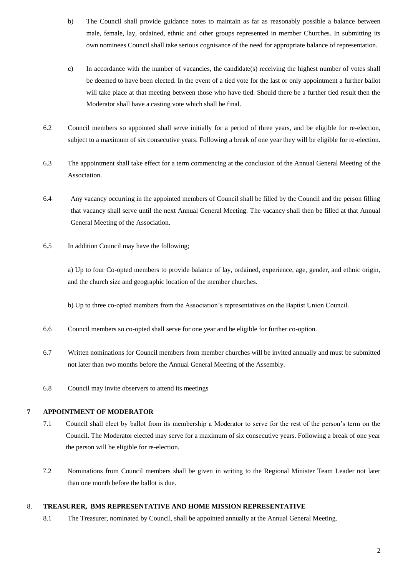- b) The Council shall provide guidance notes to maintain as far as reasonably possible a balance between male, female, lay, ordained, ethnic and other groups represented in member Churches. In submitting its own nominees Council shall take serious cognisance of the need for appropriate balance of representation.
- **c**) In accordance with the number of vacancies, the candidate(s) receiving the highest number of votes shall be deemed to have been elected. In the event of a tied vote for the last or only appointment a further ballot will take place at that meeting between those who have tied. Should there be a further tied result then the Moderator shall have a casting vote which shall be final.
- 6.2 Council members so appointed shall serve initially for a period of three years, and be eligible for re-election, subject to a maximum of six consecutive years. Following a break of one year they will be eligible for re-election.
- 6.3 The appointment shall take effect for a term commencing at the conclusion of the Annual General Meeting of the Association.
- 6.4 Any vacancy occurring in the appointed members of Council shall be filled by the Council and the person filling that vacancy shall serve until the next Annual General Meeting. The vacancy shall then be filled at that Annual General Meeting of the Association.
- 6.5 In addition Council may have the following;

a) Up to four Co-opted members to provide balance of lay, ordained, experience, age, gender, and ethnic origin, and the church size and geographic location of the member churches.

b) Up to three co-opted members from the Association's representatives on the Baptist Union Council.

- 6.6 Council members so co-opted shall serve for one year and be eligible for further co-option.
- 6.7 Written nominations for Council members from member churches will be invited annually and must be submitted not later than two months before the Annual General Meeting of the Assembly.
- 6.8 Council may invite observers to attend its meetings

#### **7 APPOINTMENT OF MODERATOR**

- 7.1 Council shall elect by ballot from its membership a Moderator to serve for the rest of the person's term on the Council. The Moderator elected may serve for a maximum of six consecutive years. Following a break of one year the person will be eligible for re-election.
- 7.2 Nominations from Council members shall be given in writing to the Regional Minister Team Leader not later than one month before the ballot is due.

#### 8. **TREASURER, BMS REPRESENTATIVE AND HOME MISSION REPRESENTATIVE**

8.1 The Treasurer, nominated by Council, shall be appointed annually at the Annual General Meeting.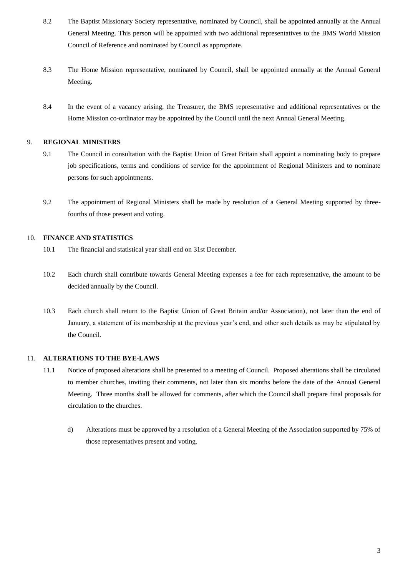- 8.2 The Baptist Missionary Society representative, nominated by Council, shall be appointed annually at the Annual General Meeting. This person will be appointed with two additional representatives to the BMS World Mission Council of Reference and nominated by Council as appropriate.
- 8.3 The Home Mission representative, nominated by Council, shall be appointed annually at the Annual General Meeting.
- 8.4 In the event of a vacancy arising, the Treasurer, the BMS representative and additional representatives or the Home Mission co-ordinator may be appointed by the Council until the next Annual General Meeting.

#### 9. **REGIONAL MINISTERS**

- 9.1 The Council in consultation with the Baptist Union of Great Britain shall appoint a nominating body to prepare job specifications, terms and conditions of service for the appointment of Regional Ministers and to nominate persons for such appointments.
- 9.2 The appointment of Regional Ministers shall be made by resolution of a General Meeting supported by threefourths of those present and voting.

#### 10. **FINANCE AND STATISTICS**

- 10.1 The financial and statistical year shall end on 31st December.
- 10.2 Each church shall contribute towards General Meeting expenses a fee for each representative, the amount to be decided annually by the Council.
- 10.3 Each church shall return to the Baptist Union of Great Britain and/or Association), not later than the end of January, a statement of its membership at the previous year's end, and other such details as may be stipulated by the Council.

#### 11. **ALTERATIONS TO THE BYE-LAWS**

- 11.1 Notice of proposed alterations shall be presented to a meeting of Council. Proposed alterations shall be circulated to member churches, inviting their comments, not later than six months before the date of the Annual General Meeting. Three months shall be allowed for comments, after which the Council shall prepare final proposals for circulation to the churches.
	- d) Alterations must be approved by a resolution of a General Meeting of the Association supported by 75% of those representatives present and voting.